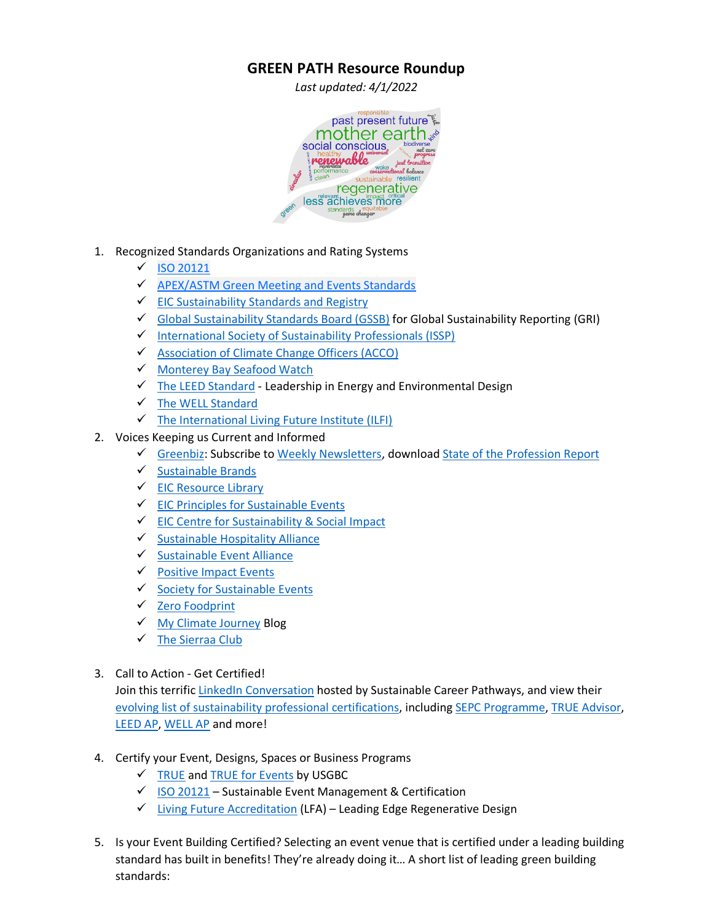## **GREEN PATH Resource Roundup**

*Last updated: 4/1/2022*



- 1. Recognized Standards Organizations and Rating Systems
	- ✓ [ISO 20121](http://www.iso20121.org/)
	- ✓ [APEX/ASTM Green Meeting and Events Standards](http://www.conventionindustry.org/standardspractices/apexastm.aspx)
	- ✓ [EIC Sustainability Standards and Registry](https://insights.eventscouncil.org/Sustainability/Sustainability-Standards-and-Registry)
	- $\checkmark$  [Global Sustainability Standards Board \(GSSB\)](https://www.globalreporting.org/standards/global-sustainability-standards-board/) for Global Sustainability Reporting (GRI)
	- ✓ [International Society of Sustainability Professionals \(ISSP\)](https://www.sustainabilityprofessionals.org/)
	- ✓ [Association of Climate Change Officers \(ACCO\)](https://climateofficers.org/)
	- ✓ [Monterey Bay Seafood Watch](https://www.seafoodwatch.org/recommendations)
	- $\checkmark$  [The LEED Standard](https://www.usgbc.org/leed) Leadership in Energy and Environmental Design
	- ✓ The WELL [Standard](https://www.wellcertified.com/)
	- $\checkmark$  The International Living Future Institute (ILFI)
- 2. Voices Keeping us Current and Informed
	- ✓ [Greenbiz:](https://www.greenbiz.com/) Subscribe to [Weekly Newsletters,](https://www.greenbiz.com/newsletters-subscribe) download [State of the Profession Report](https://www.greenbiz.com/report/state-profession-2020-report)
	- ✓ [Sustainable Brands](https://sustainablebrands.com/channels)
	- ✓ [EIC Resource Library](https://insights.eventscouncil.org/Sustainability/Resource-Library)
	- ✓ [EIC Principles for Sustainable Events](https://eventscouncil.org/Portals/0/EIC%20Documents/Sustainability/Principles%20for%20sustainable%20events.pdf)
	- ✓ [EIC Centre for Sustainability & Social Impact](https://www.eventscouncil.org/Sustainability/CSE)
	- ✓ [Sustainable Hospitality Alliance](https://sustainablehospitalityalliance.org/)
	- ✓ [Sustainable Event Alliance](https://sustainable-event-alliance.org/)
	- ✓ [Positive Impact Events](https://www.positiveimpactevents.com/)
	- ✓ [Society for Sustainable](http://www.societyforsustainableevents.com/) Events
	- ✓ [Zero Foodprint](https://www.zerofoodprint.org/)
	- ✓ [My Climate Journey](https://www.myclimatejourney.co/) Blog
	- ✓ [The Sierraa Club](https://www.sierraclub.org/)
- 3. Call to Action Get Certified!

Join this terrific LinkedIn [Conversation](https://www.linkedin.com/posts/trishkenlon_which-of-these-25-sustainability-certifications-activity-6796080922539159552-WXXI) hosted by Sustainable Career Pathways, and view their evolving list of sustainability [professional certifications,](https://sustainablecareerpathways.com/2021/05/05/which-of-these-25-sustainability-certifications-is-right-for-you/) including [SEPC](https://www.eventscouncil.org/Sustainability/SEPC) Programme[, TRUE Advisor,](https://true.gbci.org/true-advisor) [LEED AP,](https://www.usgbc.org/credentials/leed-green-associate) [WELL AP](https://www.wellcertified.com/well-ap/) and more!

- 4. Certify your Event, Designs, Spaces or Business Programs
	- ✓ [TRUE](https://true.gbci.org/true-program-zero-waste-certification) an[d TRUE for Events](https://true.gbci.org/introducing-true-events) by USGBC
	- $\checkmark$  [ISO 20121](http://www.iso20121.org/) Sustainable Event Management & Certification
	- ✓ [Living Future Accreditation](https://living-future.org/lfa/) (LFA) Leading Edge Regenerative Design
- 5. Is your Event Building Certified? Selecting an event venue that is certified under a leading building standard has built in benefits! They're already doing it… A short list of leading green building standards: